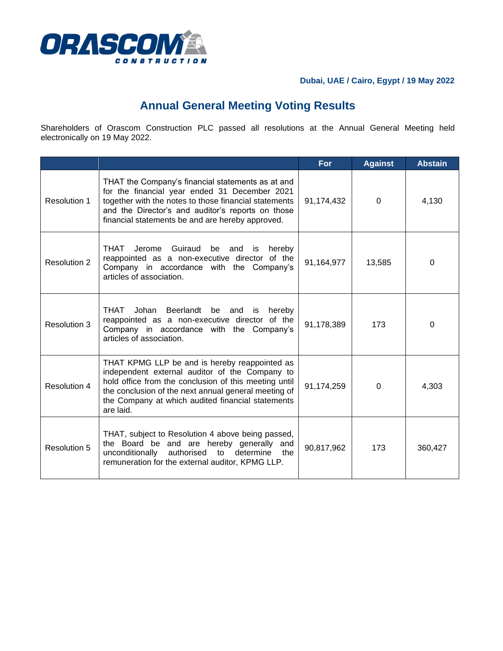

## **Dubai, UAE / Cairo, Egypt / 19 May 2022**

## **Annual General Meeting Voting Results**

Shareholders of Orascom Construction PLC passed all resolutions at the Annual General Meeting held electronically on 19 May 2022.

|                     |                                                                                                                                                                                                                                                                                    | <b>For</b> | <b>Against</b> | <b>Abstain</b> |
|---------------------|------------------------------------------------------------------------------------------------------------------------------------------------------------------------------------------------------------------------------------------------------------------------------------|------------|----------------|----------------|
| Resolution 1        | THAT the Company's financial statements as at and<br>for the financial year ended 31 December 2021<br>together with the notes to those financial statements<br>and the Director's and auditor's reports on those<br>financial statements be and are hereby approved.               | 91,174,432 | $\Omega$       | 4,130          |
| <b>Resolution 2</b> | THAT<br>Jerome Guiraud<br>hereby<br>be<br>and<br>is<br>reappointed as a non-executive director of the<br>Company in accordance with the Company's<br>articles of association.                                                                                                      | 91,164,977 | 13,585         | $\Omega$       |
| <b>Resolution 3</b> | THAT<br>Johan Beerlandt be and is<br>hereby<br>reappointed as a non-executive director of the<br>Company in accordance with the Company's<br>articles of association.                                                                                                              | 91,178,389 | 173            | 0              |
| <b>Resolution 4</b> | THAT KPMG LLP be and is hereby reappointed as<br>independent external auditor of the Company to<br>hold office from the conclusion of this meeting until<br>the conclusion of the next annual general meeting of<br>the Company at which audited financial statements<br>are laid. | 91,174,259 | 0              | 4,303          |
| Resolution 5        | THAT, subject to Resolution 4 above being passed,<br>the Board be and are hereby generally and<br>authorised to<br>determine the<br>unconditionally<br>remuneration for the external auditor, KPMG LLP.                                                                            | 90,817,962 | 173            | 360,427        |